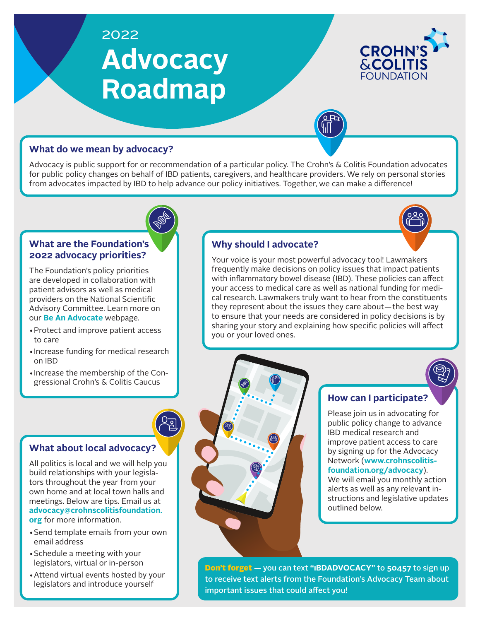# 2022 **Advocacy Roadmap**



## **What do we mean by advocacy?**

Advocacy is public support for or recommendation of a particular policy. The Crohn's & Colitis Foundation advocates for public policy changes on behalf of IBD patients, caregivers, and healthcare providers. We rely on personal stories from advocates impacted by IBD to help advance our policy initiatives. Together, we can make a difference!



#### **What are the Foundation's 2022 advocacy priorities?**

The Foundation's policy priorities are developed in collaboration with patient advisors as well as medical providers on the National Scientific Advisory Committee. Learn more on our **[Be An Advocate](https://www.crohnscolitisfoundation.org/get-involved/be-an-advocate)** webpage.

- •Protect and improve patient access to care
- •Increase funding for medical research on IBD
- •Increase the membership of the Congressional Crohn's & Colitis Caucus

## **What about local advocacy?**

All politics is local and we will help you build relationships with your legislators throughout the year from your own home and at local town halls and meetings. Below are tips. Email us at **[advocacy@crohnscolitisfoundation.](mailto:advocacy%40crohnscolitisfoundation.org?subject=) [org](mailto:advocacy%40crohnscolitisfoundation.org?subject=)** for more information.

- •Send template emails from your own email address
- •Schedule a meeting with your legislators, virtual or in-person
- •Attend virtual events hosted by your legislators and introduce yourself

## **Why should I advocate?**

Your voice is your most powerful advocacy tool! Lawmakers frequently make decisions on policy issues that impact patients with inflammatory bowel disease (IBD). These policies can affect your access to medical care as well as national funding for medical research. Lawmakers truly want to hear from the constituents they represent about the issues they care about—the best way to ensure that your needs are considered in policy decisions is by sharing your story and explaining how specific policies will affect you or your loved ones.



## **How can I participate?**

Please join us in advocating for public policy change to advance IBD medical research and improve patient access to care by signing up for the Advocacy Network (**[www.crohnscolitis](http://www.crohnscolitisfoundation.org/advocacy)[foundation.org/advocacy](http://www.crohnscolitisfoundation.org/advocacy)**).

We will email you monthly action alerts as well as any relevant instructions and legislative updates outlined below.

Don't forget — you can text **"IBDADVOCACY"** to **50457** to sign up to receive text alerts from the Foundation's Advocacy Team about important issues that could affect you!